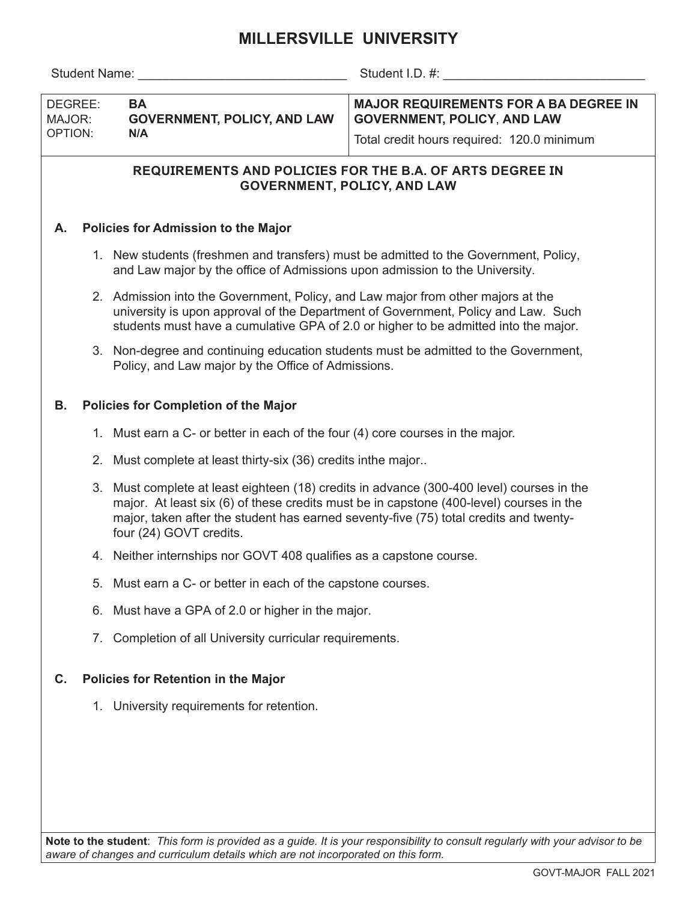# **MILLERSVILLE UNIVERSITY**

Student Name: etc. and the student I.D. #:  $\frac{1}{2}$  Student I.D. #:

| DEGREE:<br>MAJOR:<br>  OPTION: | <b>BA</b><br><b>GOVERNMENT, POLICY, AND LAW</b><br>N/A | MAJOR REQUIREMENTS FOR A BA DEGREE IN<br><b>GOVERNMENT, POLICY, AND LAW</b> |  |  |  |
|--------------------------------|--------------------------------------------------------|-----------------------------------------------------------------------------|--|--|--|
|                                |                                                        | Total credit hours required: 120.0 minimum                                  |  |  |  |

## **REQUIREMENTS AND POLICIES FOR THE B.A. OF ARTS DEGREE IN GOVERNMENT, POLICY, AND LAW**

### **A. Policies for Admission to the Major**

- 1. New students (freshmen and transfers) must be admitted to the Government, Policy, and Law major by the office of Admissions upon admission to the University.
- 2. Admission into the Government, Policy, and Law major from other majors at the university is upon approval of the Department of Government, Policy and Law. Such students must have a cumulative GPA of 2.0 or higher to be admitted into the major.
- 3. Non-degree and continuing education students must be admitted to the Government, Policy, and Law major by the Office of Admissions.

#### **B. Policies for Completion of the Major**

- 1. Must earn a C- or better in each of the four (4) core courses in the major.
- 2. Must complete at least thirty-six (36) credits inthe major..
- 3. Must complete at least eighteen (18) credits in advance (300-400 level) courses in the major. At least six (6) of these credits must be in capstone (400-level) courses in the major, taken after the student has earned seventy-five (75) total credits and twentyfour (24) GOVT credits.
- 4. Neither internships nor GOVT 408 qualifies as a capstone course.
- 5. Must earn a C- or better in each of the capstone courses.
- 6. Must have a GPA of 2.0 or higher in the major.
- 7. Completion of all University curricular requirements.

### **C. Policies for Retention in the Major**

1. University requirements for retention.

**Note to the student**: *This form is provided as a guide. It is your responsibility to consult regularly with your advisor to be aware of changes and curriculum details which are not incorporated on this form.*